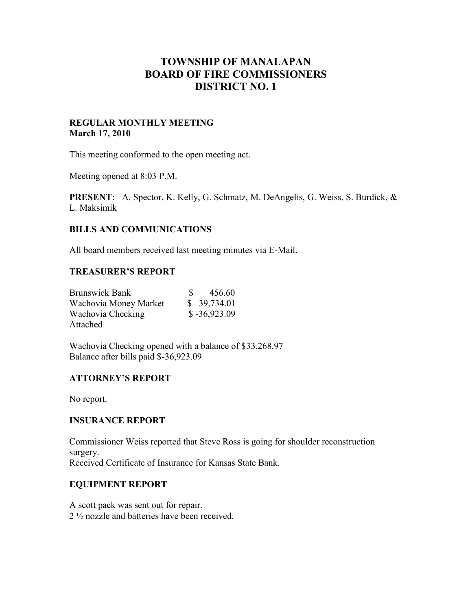# **TOWNSHIP OF MANALAPAN BOARD OF FIRE COMMISSIONERS DISTRICT NO. 1**

#### **REGULAR MONTHLY MEETING March 17, 2010**

This meeting conformed to the open meeting act.

Meeting opened at 8:03 P.M.

**PRESENT:** A. Spector, K. Kelly, G. Schmatz, M. DeAngelis, G. Weiss, S. Burdick, & L. Maksimik

## **BILLS AND COMMUNICATIONS**

All board members received last meeting minutes via E-Mail.

## **TREASURER'S REPORT**

| <b>Brunswick Bank</b> | 456.60<br>SS.  |
|-----------------------|----------------|
| Wachovia Money Market | \$39,734.01    |
| Wachovia Checking     | $$ -36,923.09$ |
| Attached              |                |

Wachovia Checking opened with a balance of \$33,268.97 Balance after bills paid \$-36,923.09

# **ATTORNEY'S REPORT**

No report.

#### **INSURANCE REPORT**

Commissioner Weiss reported that Steve Ross is going for shoulder reconstruction surgery. Received Certificate of Insurance for Kansas State Bank.

## **EQUIPMENT REPORT**

A scott pack was sent out for repair. 2 ½ nozzle and batteries have been received.